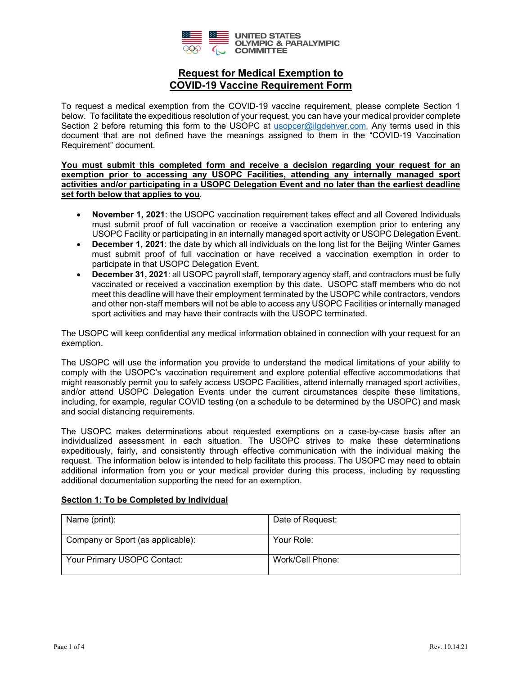

To request a medical exemption from the COVID-19 vaccine requirement, please complete Section 1 below. To facilitate the expeditious resolution of your request, you can have your medical provider complete Section 2 before returning this form to the USOPC at [usopcer@ilgdenver.com](mailto:usopcer@ilgdenver.com). Any terms used in this document that are not defined have the meanings assigned to them in the "COVID-19 Vaccination Requirement" document.

**You must submit this completed form and receive a decision regarding your request for an exemption prior to accessing any USOPC Facilities, attending any internally managed sport activities and/or participating in a USOPC Delegation Event and no later than the earliest deadline set forth below that applies to you**.

- **November 1, 2021**: the USOPC vaccination requirement takes effect and all Covered Individuals must submit proof of full vaccination or receive a vaccination exemption prior to entering any USOPC Facility or participating in an internally managed sport activity or USOPC Delegation Event.
- **December 1, 2021**: the date by which all individuals on the long list for the Beijing Winter Games must submit proof of full vaccination or have received a vaccination exemption in order to participate in that USOPC Delegation Event.
- **December 31, 2021**: all USOPC payroll staff, temporary agency staff, and contractors must be fully vaccinated or received a vaccination exemption by this date. USOPC staff members who do not meet this deadline will have their employment terminated by the USOPC while contractors, vendors and other non-staff members will not be able to access any USOPC Facilities or internally managed sport activities and may have their contracts with the USOPC terminated.

The USOPC will keep confidential any medical information obtained in connection with your request for an exemption.

The USOPC will use the information you provide to understand the medical limitations of your ability to comply with the USOPC's vaccination requirement and explore potential effective accommodations that might reasonably permit you to safely access USOPC Facilities, attend internally managed sport activities, and/or attend USOPC Delegation Events under the current circumstances despite these limitations, including, for example, regular COVID testing (on a schedule to be determined by the USOPC) and mask and social distancing requirements.

The USOPC makes determinations about requested exemptions on a case-by-case basis after an individualized assessment in each situation. The USOPC strives to make these determinations expeditiously, fairly, and consistently through effective communication with the individual making the request. The information below is intended to help facilitate this process. The USOPC may need to obtain additional information from you or your medical provider during this process, including by requesting additional documentation supporting the need for an exemption.

#### **Section 1: To be Completed by Individual**

| Name (print):                     | Date of Request: |
|-----------------------------------|------------------|
| Company or Sport (as applicable): | Your Role:       |
| Your Primary USOPC Contact:       | Work/Cell Phone: |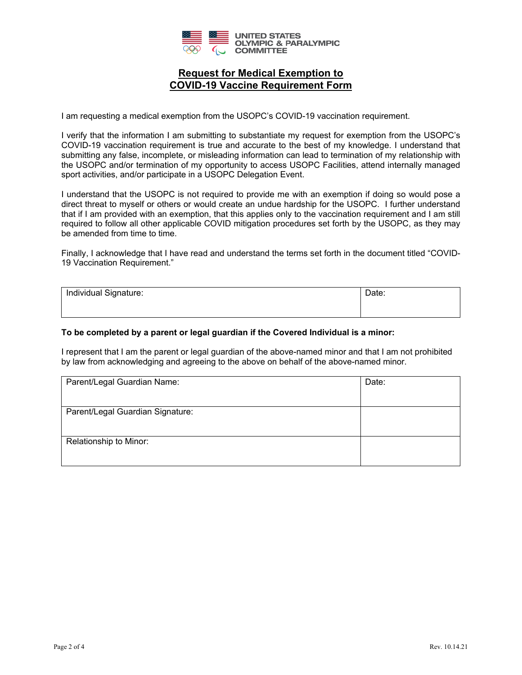

I am requesting a medical exemption from the USOPC's COVID-19 vaccination requirement.

I verify that the information I am submitting to substantiate my request for exemption from the USOPC's COVID-19 vaccination requirement is true and accurate to the best of my knowledge. I understand that submitting any false, incomplete, or misleading information can lead to termination of my relationship with the USOPC and/or termination of my opportunity to access USOPC Facilities, attend internally managed sport activities, and/or participate in a USOPC Delegation Event.

I understand that the USOPC is not required to provide me with an exemption if doing so would pose a direct threat to myself or others or would create an undue hardship for the USOPC. I further understand that if I am provided with an exemption, that this applies only to the vaccination requirement and I am still required to follow all other applicable COVID mitigation procedures set forth by the USOPC, as they may be amended from time to time.

Finally, I acknowledge that I have read and understand the terms set forth in the document titled "COVID-19 Vaccination Requirement."

| Individual Signature: | Date: |
|-----------------------|-------|
|                       |       |

### **To be completed by a parent or legal guardian if the Covered Individual is a minor:**

I represent that I am the parent or legal guardian of the above-named minor and that I am not prohibited by law from acknowledging and agreeing to the above on behalf of the above-named minor.

| Parent/Legal Guardian Name:      | Date: |
|----------------------------------|-------|
|                                  |       |
| Parent/Legal Guardian Signature: |       |
|                                  |       |
| Relationship to Minor:           |       |
|                                  |       |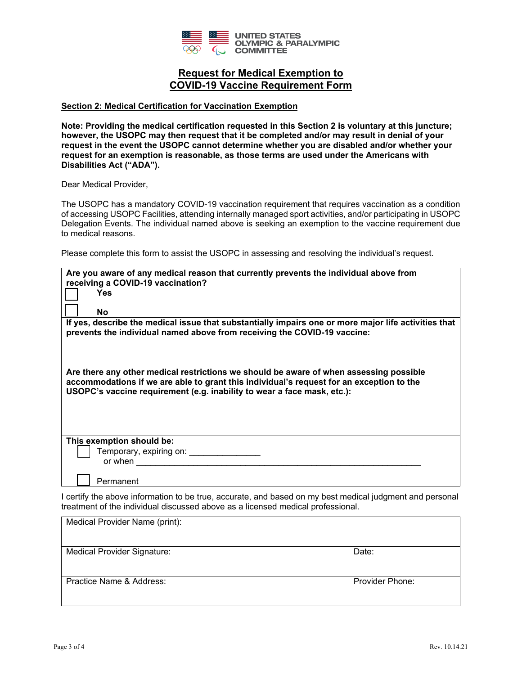

#### **Section 2: Medical Certification for Vaccination Exemption**

**Note: Providing the medical certification requested in this Section 2 is voluntary at this juncture; however, the USOPC may then request that it be completed and/or may result in denial of your request in the event the USOPC cannot determine whether you are disabled and/or whether your request for an exemption is reasonable, as those terms are used under the Americans with Disabilities Act ("ADA").** 

Dear Medical Provider,

The USOPC has a mandatory COVID-19 vaccination requirement that requires vaccination as a condition of accessing USOPC Facilities, attending internally managed sport activities, and/or participating in USOPC Delegation Events. The individual named above is seeking an exemption to the vaccine requirement due to medical reasons.

Please complete this form to assist the USOPC in assessing and resolving the individual's request.

| Are you aware of any medical reason that currently prevents the individual above from<br>receiving a COVID-19 vaccination?                                                                                                                                    |  |  |  |  |
|---------------------------------------------------------------------------------------------------------------------------------------------------------------------------------------------------------------------------------------------------------------|--|--|--|--|
| <b>Yes</b>                                                                                                                                                                                                                                                    |  |  |  |  |
| No                                                                                                                                                                                                                                                            |  |  |  |  |
| If yes, describe the medical issue that substantially impairs one or more major life activities that<br>prevents the individual named above from receiving the COVID-19 vaccine:                                                                              |  |  |  |  |
| Are there any other medical restrictions we should be aware of when assessing possible<br>accommodations if we are able to grant this individual's request for an exception to the<br>USOPC's vaccine requirement (e.g. inability to wear a face mask, etc.): |  |  |  |  |
| This exemption should be:                                                                                                                                                                                                                                     |  |  |  |  |
| Temporary, expiring on: _________________                                                                                                                                                                                                                     |  |  |  |  |
| or when the contract of the contract of the contract of the contract of the contract of the contract of the contract of the contract of the contract of the contract of the contract of the contract of the contract of the co                                |  |  |  |  |
| Permanent                                                                                                                                                                                                                                                     |  |  |  |  |

I certify the above information to be true, accurate, and based on my best medical judgment and personal treatment of the individual discussed above as a licensed medical professional.

| Medical Provider Name (print):     |                 |
|------------------------------------|-----------------|
| <b>Medical Provider Signature:</b> | Date:           |
| Practice Name & Address:           | Provider Phone: |